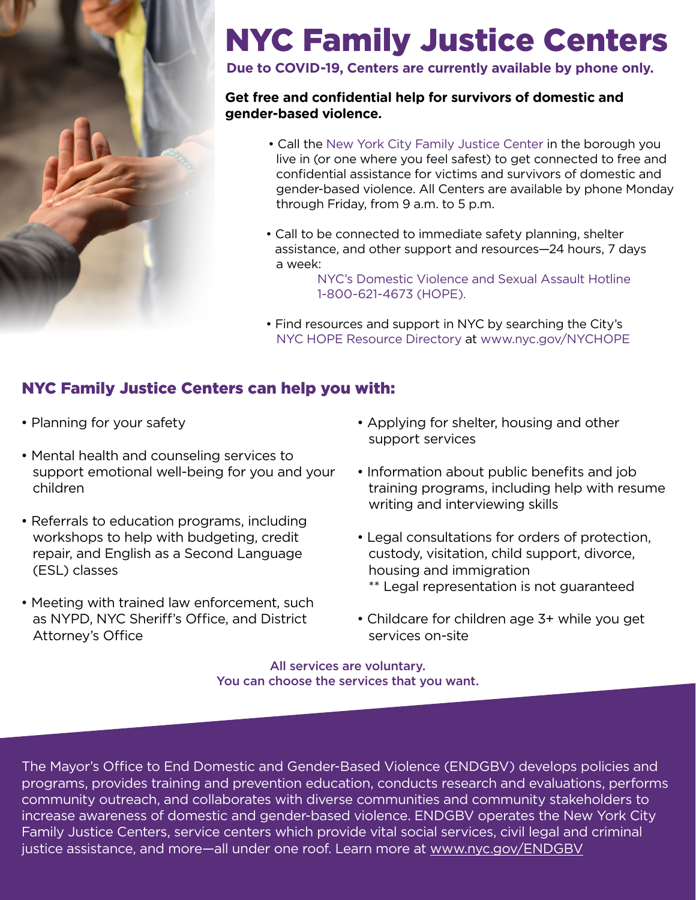

# NYC Family Justice Centers

**Due to COVID-19, Centers are currently available by phone only.**

#### **Get free and confidential help for survivors of domestic and gender-based violence.**

- Call the New York City Family Justice Center in the borough you live in (or one where you feel safest) to get connected to free and confidential assistance for victims and survivors of domestic and gender-based violence. All Centers are available by phone Monday through Friday, from 9 a.m. to 5 p.m.
- Call to be connected to immediate safety planning, shelter assistance, and other support and resources—24 hours, 7 days a week:

 NYC's Domestic Violence and Sexual Assault Hotline 1-800-621-4673 (HOPE).

• Find resources and support in NYC by searching the City's NYC HOPE Resource Directory at www.nyc.gov/NYCHOPE

#### NYC Family Justice Centers can help you with:

- Planning for your safety
- Mental health and counseling services to support emotional well-being for you and your children
- Referrals to education programs, including workshops to help with budgeting, credit repair, and English as a Second Language (ESL) classes
- Meeting with trained law enforcement, such as NYPD, NYC Sheriff's Office, and District Attorney's Office
- Applying for shelter, housing and other support services
- Information about public benefits and job training programs, including help with resume writing and interviewing skills
- Legal consultations for orders of protection, custody, visitation, child support, divorce, housing and immigration \*\* Legal representation is not guaranteed
- Childcare for children age 3+ while you get services on-site

All services are voluntary. You can choose the services that you want.

The Mayor's Office to End Domestic and Gender-Based Violence (ENDGBV) develops policies and programs, provides training and prevention education, conducts research and evaluations, performs community outreach, and collaborates with diverse communities and community stakeholders to increase awareness of domestic and gender-based violence. ENDGBV operates the New York City Family Justice Centers, service centers which provide vital social services, civil legal and criminal justice assistance, and more—all under one roof. Learn more at www.nyc.gov/ENDGBV